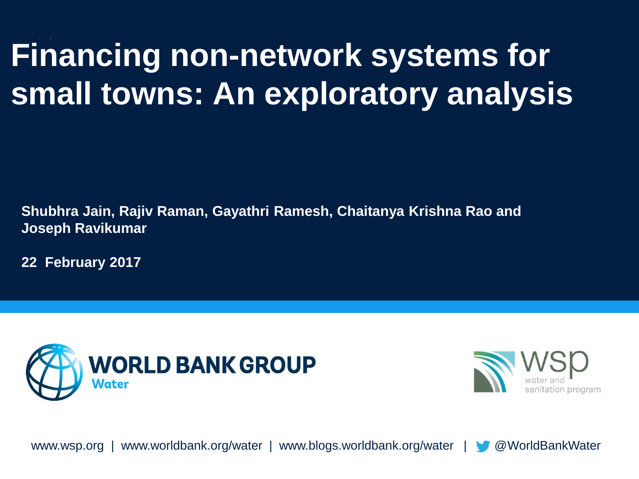# **Financing non-network systems for small towns: An exploratory analysis**

**Shubhra Jain, Rajiv Raman, Gayathri Ramesh, Chaitanya Krishna Rao and Joseph Ravikumar** 

**22 February 2017**





www.wsp.org | www.worldbank.org/water | www.blogs.worldbank.org/water | @WorldBankWater

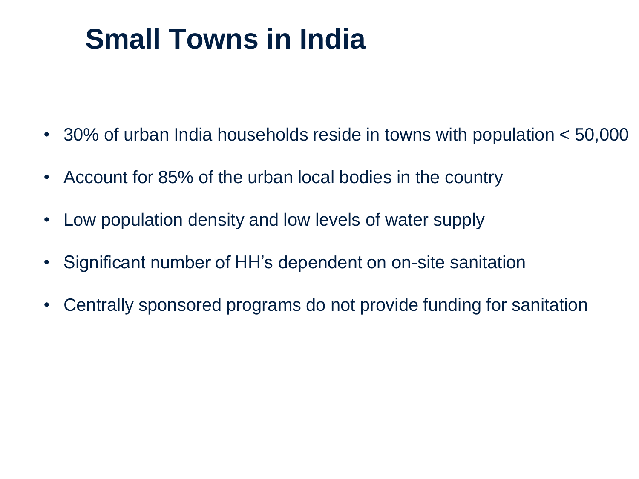## **Small Towns in India**

- 30% of urban India households reside in towns with population < 50,000
- Account for 85% of the urban local bodies in the country
- Low population density and low levels of water supply
- Significant number of HH's dependent on on-site sanitation
- Centrally sponsored programs do not provide funding for sanitation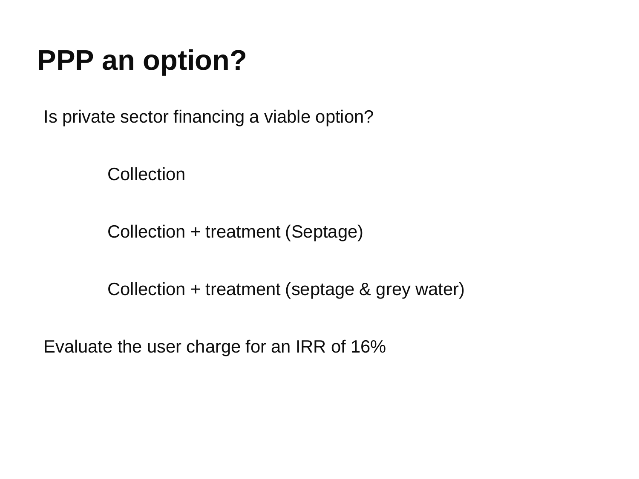### **PPP an option?**

Is private sector financing a viable option?

**Collection** 

Collection + treatment (Septage)

Collection + treatment (septage & grey water)

Evaluate the user charge for an IRR of 16%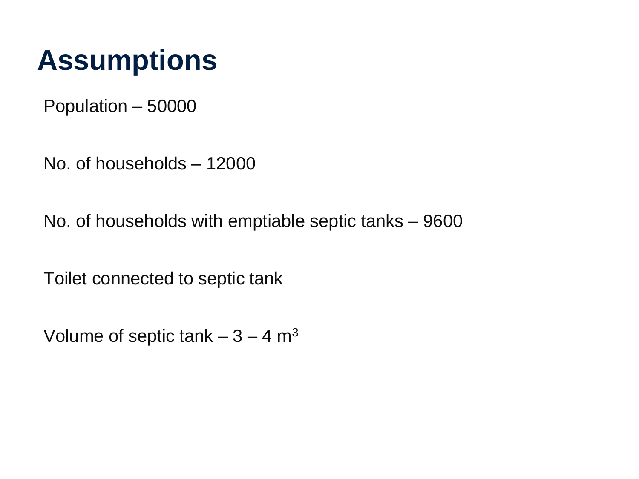#### **Assumptions**

Population – 50000

No. of households – 12000

No. of households with emptiable septic tanks – 9600

Toilet connected to septic tank

Volume of septic tank  $-3 - 4$  m<sup>3</sup>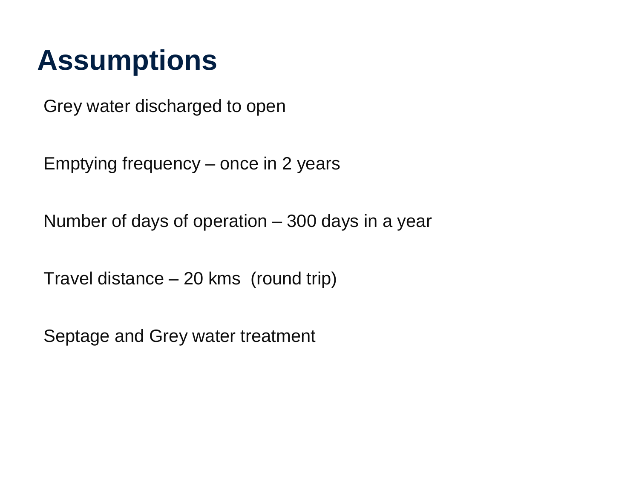#### **Assumptions**

Grey water discharged to open

Emptying frequency – once in 2 years

Number of days of operation – 300 days in a year

Travel distance – 20 kms (round trip)

Septage and Grey water treatment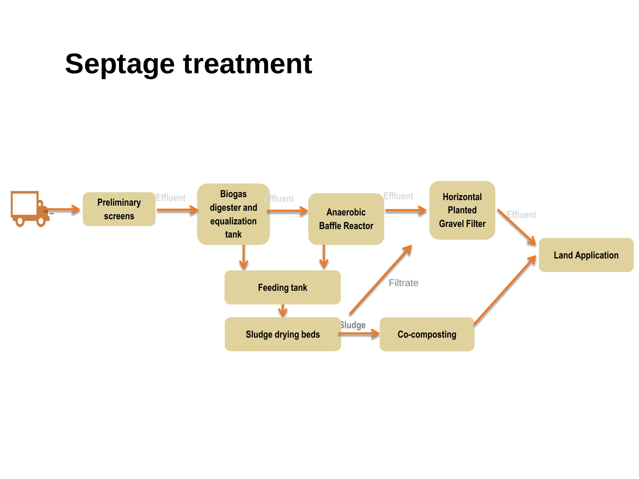#### **Septage treatment**

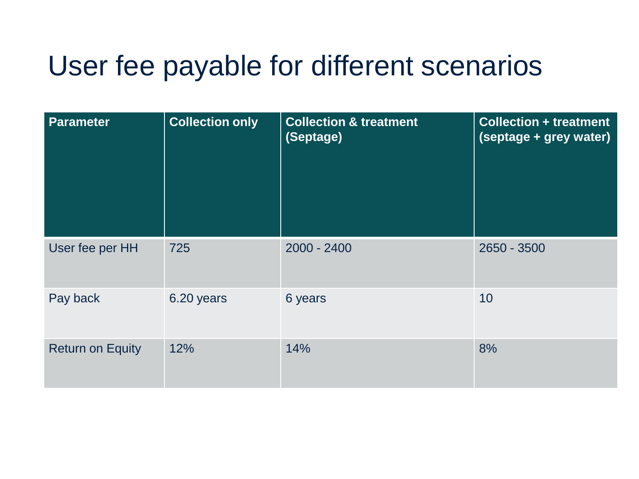#### User fee payable for different scenarios

| <b>Parameter</b>        | <b>Collection only</b> | <b>Collection &amp; treatment</b><br>(Septage) | <b>Collection + treatment</b><br>(septage + grey water) |
|-------------------------|------------------------|------------------------------------------------|---------------------------------------------------------|
| User fee per HH         | 725                    | $2000 - 2400$                                  | 2650 - 3500                                             |
| Pay back                | 6.20 years             | 6 years                                        | 10                                                      |
| <b>Return on Equity</b> | 12%                    | 14%                                            | 8%                                                      |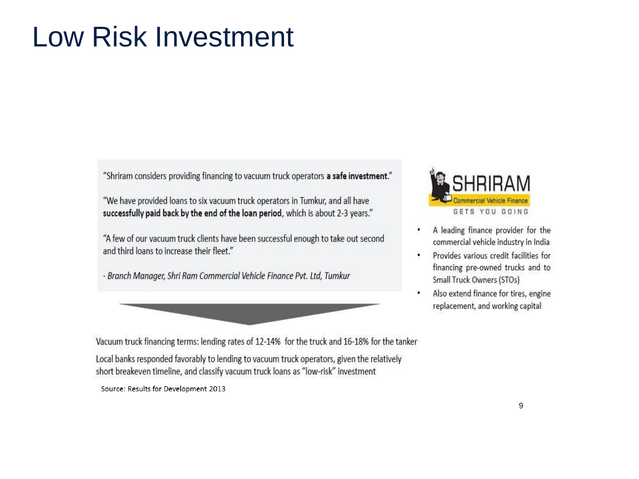#### **Low Risk Investment**

"Shriram considers providing financing to vacuum truck operators a safe investment."

"We have provided loans to six vacuum truck operators in Tumkur, and all have successfully paid back by the end of the loan period, which is about 2-3 years."

"A few of our vacuum truck clients have been successful enough to take out second and third loans to increase their fleet."

- Branch Manager, Shri Ram Commercial Vehicle Finance Pvt. Ltd, Tumkur



Vacuum truck financing terms: lending rates of 12-14% for the truck and 16-18% for the tanker Local banks responded favorably to lending to vacuum truck operators, given the relatively short breakeven timeline, and classify vacuum truck loans as "low-risk" investment

Source: Results for Development 2013



- A leading finance provider for the commercial vehicle industry in India
- Provides various credit facilities for  $\cdot$ financing pre-owned trucks and to Small Truck Owners (STOs)
- Also extend finance for tires, engine replacement, and working capital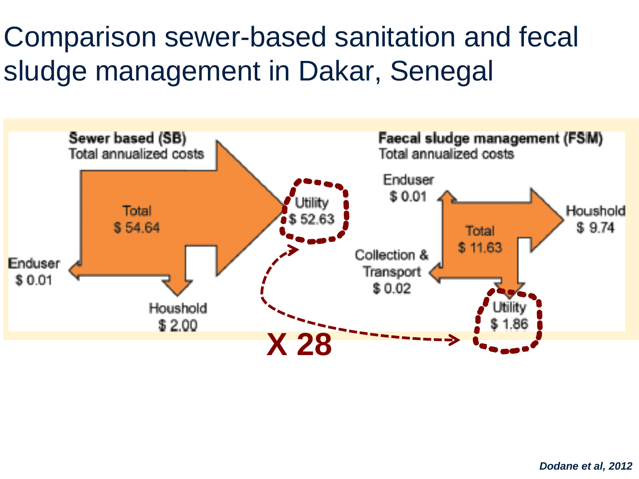Comparison sewer-based sanitation and fecal sludge management in Dakar, Senegal

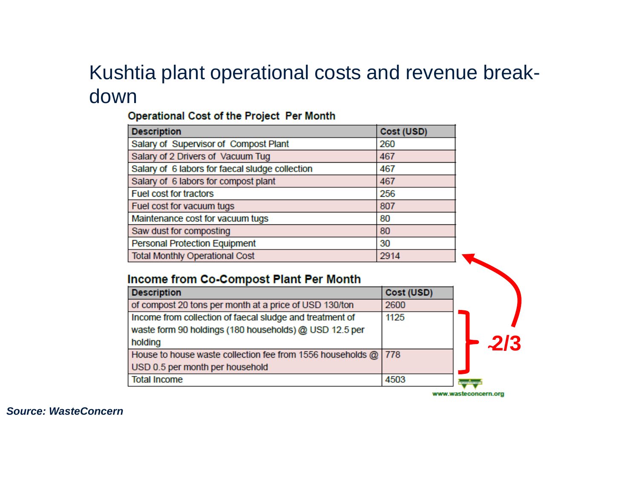#### Kushtia plant operational costs and revenue breakdown

#### Operational Cost of the Project Per Month

| <b>Description</b>                              | Cost (USD) |
|-------------------------------------------------|------------|
| Salary of Supervisor of Compost Plant           | 260        |
| Salary of 2 Drivers of Vacuum Tug               | 467        |
| Salary of 6 labors for faecal sludge collection | 467        |
| Salary of 6 labors for compost plant            | 467        |
| <b>Fuel cost for tractors</b>                   | 256        |
| Fuel cost for vacuum tugs                       | 807        |
| Maintenance cost for vacuum tugs                | 80         |
| Saw dust for composting                         | 80         |
| <b>Personal Protection Equipment</b>            | 30         |
| <b>Total Monthly Operational Cost</b>           | 2914       |

#### Income from Co-Compost Plant Per Month

| <b>Description</b>                                             | Cost (USD) |                      |
|----------------------------------------------------------------|------------|----------------------|
| of compost 20 tons per month at a price of USD 130/ton         | 2600       |                      |
| Income from collection of faecal sludge and treatment of       | 1125       |                      |
| waste form 90 holdings (180 households) @ USD 12.5 per         |            |                      |
| holding                                                        |            |                      |
| House to house waste collection fee from 1556 households @ 778 |            |                      |
| USD 0.5 per month per household                                |            |                      |
| <b>Total Income</b>                                            | 4503       | <b>WARRENT STATE</b> |

www.wasteconcern.org

**Source: WasteConcern**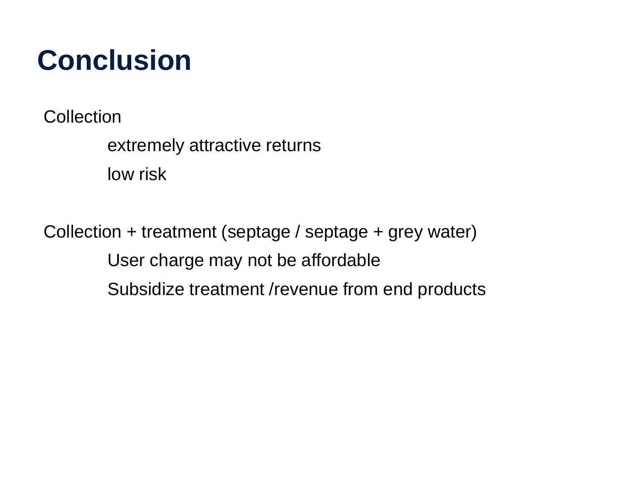### **Conclusion**

**Collection** 

extremely attractive returns low risk

Collection + treatment (septage / septage + grey water) User charge may not be affordable Subsidize treatment /revenue from end products